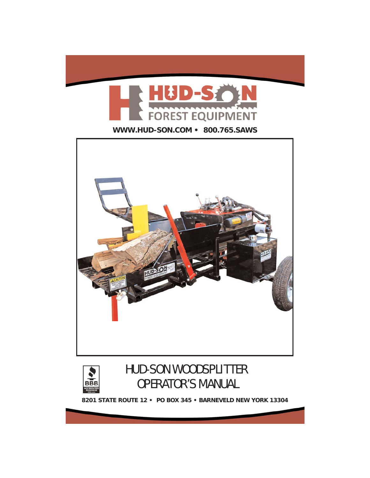





# HUD-SON WOODSPLITTER OPERATOR'S MANUAL

**8201 STATE ROUTE 12 • PO BOX 345 • BARNEVELD NEW YORK 13304**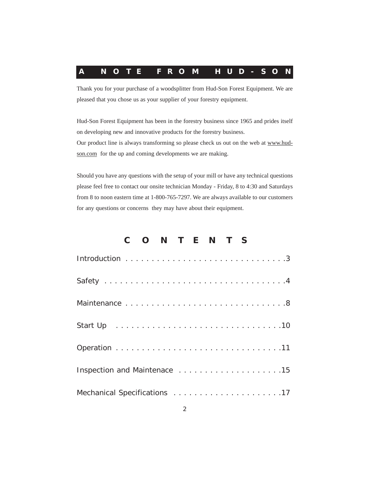

Thank you for your purchase of a woodsplitter from Hud-Son Forest Equipment. We are pleased that you chose us as your supplier of your forestry equipment.

Hud-Son Forest Equipment has been in the forestry business since 1965 and prides itself on developing new and innovative products for the forestry business. Our product line is always transforming so please check us out on the web at www.hudson.com for the up and coming developments we are making.

Should you have any questions with the setup of your mill or have any technical questions please feel free to contact our onsite technician Monday - Friday, 8 to 4:30 and Saturdays from 8 to noon eastern time at 1-800-765-7297. We are always available to our customers for any questions or concerns they may have about their equipment.

## **CONTENTS**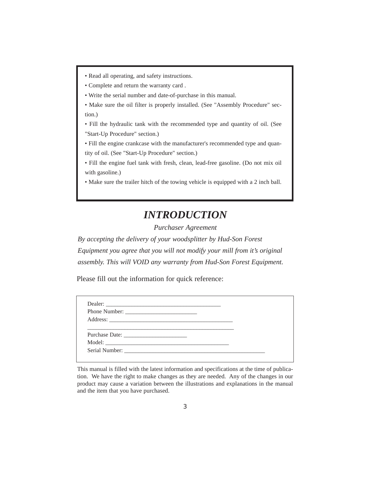- Read all operating, and safety instructions.
- Complete and return the warranty card .
- Write the serial number and date-of-purchase in this manual.
- Make sure the oil filter is properly installed. (See "Assembly Procedure" section.)

• Fill the hydraulic tank with the recommended type and quantity of oil. (See "Start-Up Procedure" section.)

• Fill the engine crankcase with the manufacturer's recommended type and quantity of oil. (See "Start-Up Procedure" section.)

• Fill the engine fuel tank with fresh, clean, lead-free gasoline. (Do not mix oil with gasoline.)

• Make sure the trailer hitch of the towing vehicle is equipped with a 2 inch ball.

## *INTRODUCTION*

*Purchaser Agreement*

*By accepting the delivery of your woodsplitter by Hud-Son Forest Equipment you agree that you will not modify your mill from it's original assembly. This will VOID any warranty from Hud-Son Forest Equipment.*

Please fill out the information for quick reference:

This manual is filled with the latest information and specifications at the time of publication. We have the right to make changes as they are needed. Any of the changes in our product may cause a variation between the illustrations and explanations in the manual and the item that you have purchased.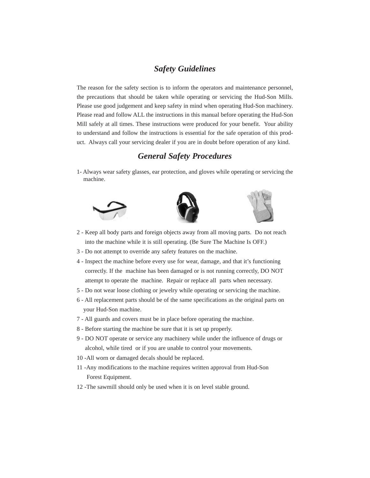## *Safety Guidelines*

The reason for the safety section is to inform the operators and maintenance personnel, the precautions that should be taken while operating or servicing the Hud-Son Mills. Please use good judgement and keep safety in mind when operating Hud-Son machinery. Please read and follow ALL the instructions in this manual before operating the Hud-Son Mill safely at all times. These instructions were produced for your benefit. Your ability to understand and follow the instructions is essential for the safe operation of this product. Always call your servicing dealer if you are in doubt before operation of any kind.

## *General Safety Procedures*

1- Always wear safety glasses, ear protection, and gloves while operating or servicing the machine.







- 2 Keep all body parts and foreign objects away from all moving parts. Do not reach into the machine while it is still operating. (Be Sure The Machine Is OFF.)
- 3 Do not attempt to override any safety features on the machine.
- 4 Inspect the machine before every use for wear, damage, and that it's functioning correctly. If the machine has been damaged or is not running correctly, DO NOT attempt to operate the machine. Repair or replace all parts when necessary.
- 5 Do not wear loose clothing or jewelry while operating or servicing the machine.
- 6 All replacement parts should be of the same specifications as the original parts on your Hud-Son machine.
- 7 All guards and covers must be in place before operating the machine.
- 8 Before starting the machine be sure that it is set up properly.
- 9 DO NOT operate or service any machinery while under the influence of drugs or alcohol, while tired or if you are unable to control your movements.
- 10 -All worn or damaged decals should be replaced.
- 11 -Any modifications to the machine requires written approval from Hud-Son Forest Equipment.
- 12 -The sawmill should only be used when it is on level stable ground.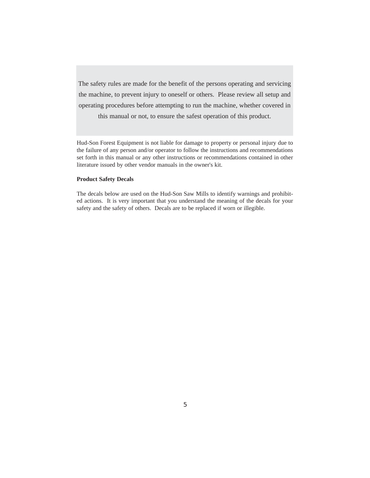The safety rules are made for the benefit of the persons operating and servicing the machine, to prevent injury to oneself or others. Please review all setup and operating procedures before attempting to run the machine, whether covered in this manual or not, to ensure the safest operation of this product.

Hud-Son Forest Equipment is not liable for damage to property or personal injury due to the failure of any person and/or operator to follow the instructions and recommendations set forth in this manual or any other instructions or recommendations contained in other literature issued by other vendor manuals in the owner's kit.

#### **Product Safety Decals**

The decals below are used on the Hud-Son Saw Mills to identify warnings and prohibited actions. It is very important that you understand the meaning of the decals for your safety and the safety of others. Decals are to be replaced if worn or illegible.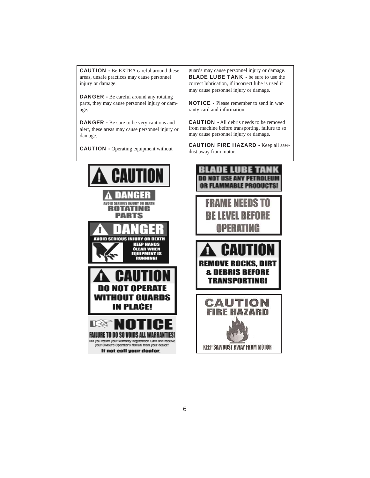CAUTION - Be EXTRA careful around these areas, unsafe practices may cause personnel injury or damage.

DANGER - Be careful around any rotating parts, they may cause personnel injury or damage.

DANGER - Be sure to be very cautious and alert, these areas may cause personnel injury or damage.

CAUTION - Operating equipment without

guards may cause personnel injury or damage. **BLADE LUBE TANK - be sure to use the** correct lubrication, if incorrect lube is used it may cause personnel injury or damage.

NOTICE - Please remember to send in warranty card and information.

CAUTION - All debris needs to be removed from machine before transporting, failure to so may cause personnel injury or damage.

CAUTION FIRE HAZARD - Keep all sawdust away from motor.



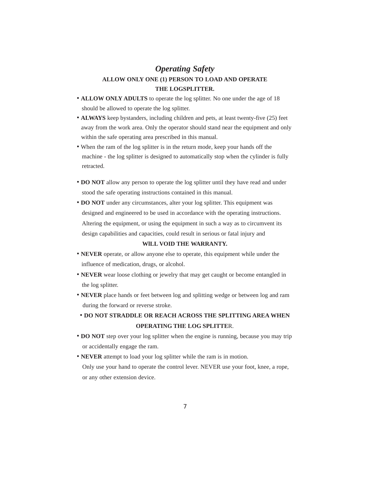## *Operating Safety* **ALLOW ONLY ONE (1) PERSON TO LOAD AND OPERATE THE LOGSPLITTER.**

- **ALLOW ONLY ADULTS** to operate the log splitter. No one under the age of 18 should be allowed to operate the log splitter.
- **ALWAYS** keep bystanders, including children and pets, at least twenty-five (25) feet away from the work area. Only the operator should stand near the equipment and only within the safe operating area prescribed in this manual.
- When the ram of the log splitter is in the return mode, keep your hands off the machine - the log splitter is designed to automatically stop when the cylinder is fully retracted.
- **DO NOT** allow any person to operate the log splitter until they have read and under stood the safe operating instructions contained in this manual.
- **DO NOT** under any circumstances, alter your log splitter. This equipment was designed and engineered to be used in accordance with the operating instructions. Altering the equipment, or using the equipment in such a way as to circumvent its design capabilities and capacities, could result in serious or fatal injury and

#### **WlLL VOID THE WARRANTY.**

- **NEVER** operate, or allow anyone else to operate, this equipment while under the influence of medication, drugs, or alcohol.
- **NEVER** wear loose clothing or jewelry that may get caught or become entangled in the log splitter.
- **NEVER** place hands or feet between log and splitting wedge or between log and ram during the forward or reverse stroke.
- **DO NOT STRADDLE OR REACH ACROSS THE SPLITTING AREA WHEN OPERATING THE LOG SPLITTE**R.
- **DO NOT** step over your log splitter when the engine is running, because you may trip or accidentally engage the ram.
- **NEVER** attempt to load your log splitter while the ram is in motion. Only use your hand to operate the control lever. NEVER use your foot, knee, a rope, or any other extension device.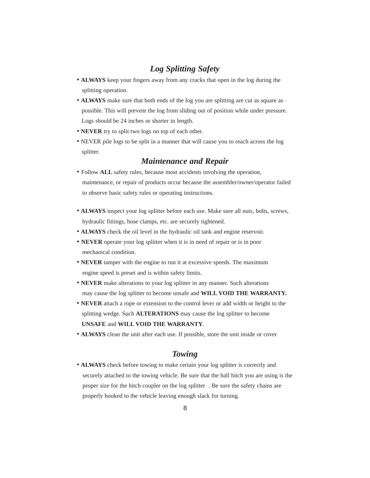## *Log Splitting Safety*

- **ALWAYS** keep your fingers away from any cracks that open in the log during the splitting operation.
- **ALWAYS** make sure that both ends of the log you are splitting are cut as square as possible. This will prevent the log from sliding out of position while under pressure. Logs should be 24 inches or shorter in length.
- **NEVER** try to split two logs on top of each other.
- NEVER pile logs to be split in a manner that will cause you to reach across the log splitter.

### *Maintenance and Repair*

- Follow **ALL** safety rules, because most accidents involving the operation, maintenance, or repair of products occur because the assembler/owner/operator failed to observe basic safety rules or operating instructions.
- **ALWAYS** inspect your log splitter before each use. Make sure all nuts, bolts, screws, hydraulic fittings, hose clamps, etc. are securely tightened.
- **ALWAYS** check the oil level in the hydraulic oil tank and engine reservoir.
- **NEVER** operate your log splitter when it is in need of repair or is in poor mechanical condition.
- **NEVER** tamper with the engine to run it at excessive speeds. The maximum engine speed is preset and is within safety limits.
- **NEVER** make alterations to your log splitter in any manner. Such alterations may cause the log splitter to become unsafe and **WILL VOID THE WARRANTY.**
- **NEVER** attach a rope or extension to the control lever or add width or height to the splitting wedge. Such **ALTERATIONS** may cause the log splitter to become **UNSAFE** and **WILL VOID THE WARRANTY**.
- **ALWAYS** clean the unit after each use. If possible, store the unit inside or cover

### *Towing*

• **ALWAYS** check before towing to make certain your log splitter is correctly and securely attached to the towing vehicle. Be sure that the ball hitch you are using is the proper size for the hitch coupler on the log splitter . Be sure the safety chains are properly hooked to the vehicle leaving enough slack for turning.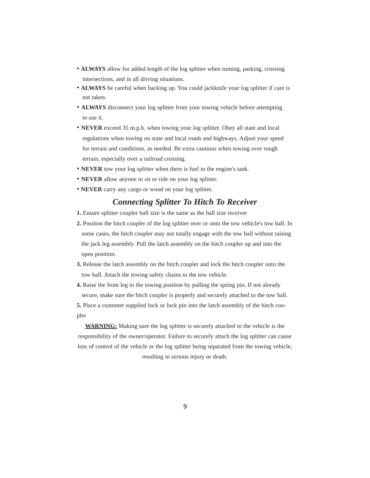- **ALWAYS** allow for added length of the log splitter when turning, parking, crossing intersections, and in all driving situations.
- **ALWAYS** be careful when backing up. You could jackknife your log splitter if care is not taken.
- **ALWAYS** disconnect your log splitter from your towing vehicle before attempting to use it.
- **NEVER** exceed 35 m.p.h. when towing your log splitter. Obey all state and local regulations when towing on state and local roads and highways. Adjust your speed for terrain and conditions, as needed. Be extra cautious when towing over rough terrain, especially over a railroad crossing.
- **NEVER** tow your log splitter when there is fuel in the engine's tank.
- **NEVER** allow anyone to sit or ride on your log splitter.
- **NEVER** carry any cargo or wood on your log splitter.

## *Connecting Splitter To Hitch To Receiver*

- **1.** Ensure splitter coupler ball size is the same as the ball size receiver
- **2.** Position the hitch coupler of the log splitter over or onto the tow vehicle's tow ball. In some cases, the hitch coupler may not totally engage with the tow ball without raising the jack leg assembly. Pull the latch assembly on the hitch coupler up and into the open position.
- **3.** Release the latch assembly on the hitch coupler and lock the hitch coupler onto the tow ball. Attach the towing safety chains to the tow vehicle.
- **4.** Raise the front leg to the towing position by pulling the spring pin. If not already secure, make sure the hitch coupler is properly and securely attached to the tow ball.
- **5.** Place a customer supplied lock or lock pin into the latch assembly of the hitch coupler

**WARNING:** Making sure the log splitter is securely attached to the vehicle is the responsibility of the owner/operator. Failure to securely attach the log splitter can cause loss of control of the vehicle or the log splitter being separated from the towing vehicle, resulting in serious injury or death.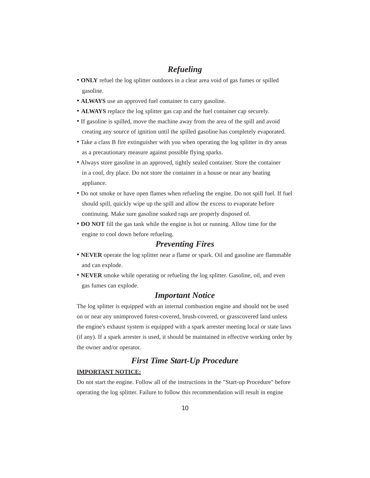## *Refueling*

- **ONLY** refuel the log splitter outdoors in a clear area void of gas fumes or spilled gasoline.
- **ALWAYS** use an approved fuel container to carry gasoline.
- **ALWAYS** replace the log splitter gas cap and the fuel container cap securely.
- If gasoline is spilled, move the machine away from the area of the spill and avoid creating any source of ignition until the spilled gasoline has completely evaporated.
- Take a class B fire extinguisher with you when operating the log splitter in dry areas as a precautionary measure against possible flying sparks.
- Always store gasoline in an approved, tightly sealed container. Store the container in a cool, dry place. Do not store the container in a house or near any heating appliance.
- Do not smoke or have open flames when refueling the engine. Do not spill fuel. If fuel should spill, quickly wipe up the spill and allow the excess to evaporate before continuing. Make sure gasoline soaked rags are properly disposed of.
- **DO NOT** fill the gas tank while the engine is hot or running. Allow time for the engine to cool down before refueling.

### *Preventing Fires*

- **NEVER** operate the log splitter near a flame or spark. Oil and gasoline are flammable and can explode.
- **NEVER** smoke while operating or refueling the log splitter. Gasoline, oil, and even gas fumes can explode.

### *Important Notice*

The log splitter is equipped with an internal combustion engine and should not be used on or near any unimproved forest-covered, brush-covered, or grasscovered land unless the engine's exhaust system is equipped with a spark arrester meeting local or state laws (if any). If a spark arrester is used, it should be maintained in effective working order by the owner and/or operator.

## *First Time Start-Up Procedure*

#### **IMPORTANT NOTICE:**

Do not start the engine. Follow all of the instructions in the "Start-up Procedure" before operating the log splitter. Failure to follow this recommendation will result in engine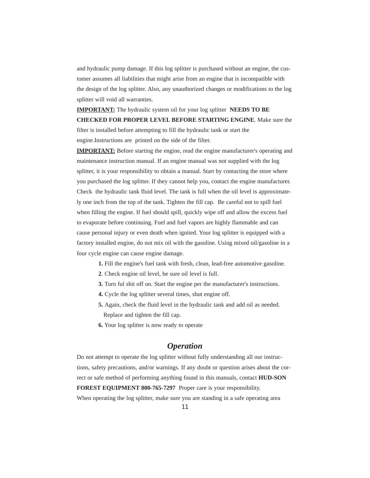and hydraulic pump damage. If this log splitter is purchased without an engine, the customer assumes all liabilities that might arise from an engine that is incompatible with the design of the log splitter. Also, any unauthorized changes or modifications to the log splitter will void all warranties.

**IMPORTANT:** The hydraulic system oil for your log splitter **NEEDS TO BE CHECKED FOR PROPER LEVEL BEFORE STARTING ENGINE**. Make sure the filter is installed before attempting to fill the hydraulic tank or start the engine.Instructions are printed on the side of the filter.

**IMPORTANT:** Before starting the engine, read the engine manufacturer's operating and maintenance instruction manual. If an engine manual was not supplied with the log splitter, it is your responsibility to obtain a manual. Start by contacting the store where you purchased the log splitter. If they cannot help you, contact the engine manufacturer. Check the hydraulic tank fluid level. The tank is full when the oil level is approximately one inch from the top of the tank. Tighten the fill cap. Be careful not to spill fuel when filling the engine. If fuel should spill, quickly wipe off and allow the excess fuel to evaporate before continuing. Fuel and fuel vapors are highly flammable and can cause personal injury or even death when ignited. Your log splitter is equipped with a factory installed engine, do not mix oil with the gasoline. Using mixed oil/gasoline in a four cycle engine can cause engine damage.

- **1.** Fill the engine's fuel tank with fresh, clean, lead-free automotive gasoline.
- **2**. Check engine oil level, be sure oil level is full.
- **3.** Turn ful shit off on. Start the engine per the manufacturer's instructions.
- **4.** Cycle the log splitter several times, shut engine off.
- **5.** Again, check the fluid level in the hydraulic tank and add oil as needed. Replace and tighten the fill cap.
- **6.** Your log splitter is now ready to operate

## *Operation*

Do not attempt to operate the log splitter without fully understanding all our instructions, safety precautions, and/or warnings. If any doubt or question arises about the correct or safe method of performing anything found in this manuals, contact **HUD-SON FOREST EQUIPMENT 800-765-7297** Proper care is your responsibility.

When operating the log splitter, make sure you are standing in a safe operating area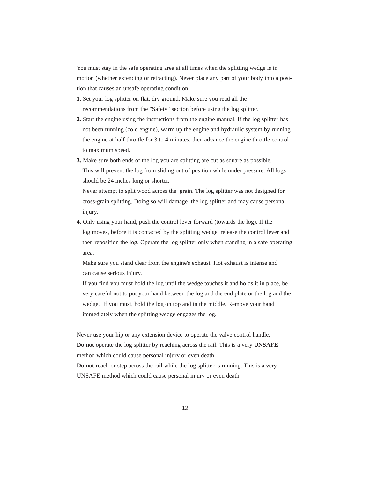You must stay in the safe operating area at all times when the splitting wedge is in motion (whether extending or retracting). Never place any part of your body into a position that causes an unsafe operating condition.

- **1.** Set your log splitter on flat, dry ground. Make sure you read all the recommendations from the "Safety" section before using the log splitter.
- **2.** Start the engine using the instructions from the engine manual. If the log splitter has not been running (cold engine), warm up the engine and hydraulic system by running the engine at half throttle for 3 to 4 minutes, then advance the engine throttle control to maximum speed.
- **3.** Make sure both ends of the log you are splitting are cut as square as possible. This will prevent the log from sliding out of position while under pressure. All logs should be 24 inches long or shorter.

Never attempt to split wood across the grain. The log splitter was not designed for cross-grain splitting. Doing so will damage the log splitter and may cause personal injury.

**4.** Only using your hand, push the control lever forward (towards the log). If the log moves, before it is contacted by the splitting wedge, release the control lever and then reposition the log. Operate the log splitter only when standing in a safe operating area.

Make sure you stand clear from the engine's exhaust. Hot exhaust is intense and can cause serious injury.

If you find you must hold the log until the wedge touches it and holds it in place, be very careful not to put your hand between the log and the end plate or the log and the wedge. If you must, hold the log on top and in the middle. Remove your hand immediately when the splitting wedge engages the log.

Never use your hip or any extension device to operate the valve control handle.

**Do not** operate the log splitter by reaching across the rail. This is a very **UNSAFE** method which could cause personal injury or even death.

**Do not** reach or step across the rail while the log splitter is running. This is a very UNSAFE method which could cause personal injury or even death.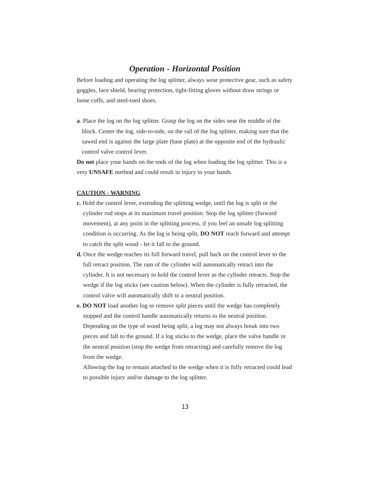### *Operation - Horizontal Position*

Before loading and operating the log splitter, always wear protective gear, such as safety goggles, face shield, hearing protection, tight-fitting gloves without draw strings or loose cuffs, and steel-toed shoes.

**a**. Place the log on the log splitter. Grasp the log on the sides near the middle of the block. Center the log, side-to-side, on the rail of the log splitter, making sure that the sawed end is against the large plate (base plate) at the opposite end of the hydraulic control valve control lever.

**Do not** place your hands on the ends of the log when loading the log splitter. This is a very **UNSAFE** method and could result in injury to your hands.

#### **CAUTION - WARNING**

- **c.** Hold the control lever, extending the splitting wedge, until the log is split or the cylinder rod stops at its maximum travel position. Stop the log splitter (forward movement), at any point in the splitting process, if you feel an unsafe log splitting condition is occurring. As the log is being split, **DO NOT** reach forward and attempt to catch the split wood - let it fall to the ground.
- **d.** Once the wedge reaches its full forward travel, pull back on the control lever to the full retract position. The ram of the cylinder will automatically retract into the cylinder. It is not necessary to hold the control lever as the cylinder retracts. Stop the wedge if the log sticks (see caution below). When the cylinder is fully retracted, the control valve will automatically shift to a neutral position.
- **e. DO NOT** load another log or remove split pieces until the wedge has completely stopped and the control handle automatically returns to the neutral position. Depending on the type of wood being split, a log may not always break into two pieces and fall to the ground. If a log sticks to the wedge, place the valve handle in the neutral position (stop the wedge from retracting) and carefully remove the log from the wedge.

Allowing the log to remain attached to the wedge when it is fully retracted could lead to possible injury and/or damage to the log splitter.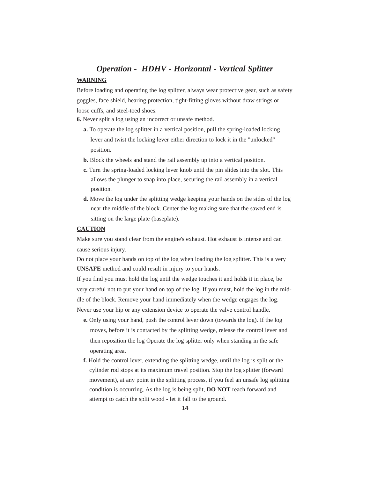## *Operation - HDHV - Horizontal - Vertical Splitter* **WARNING**

Before loading and operating the log splitter, always wear protective gear, such as safety goggles, face shield, hearing protection, tight-fitting gloves without draw strings or loose cuffs, and steel-toed shoes.

**6.** Never split a log using an incorrect or unsafe method.

- **a.** To operate the log splitter in a vertical position, pull the spring-loaded locking lever and twist the locking lever either direction to lock it in the "unlocked" position.
- **b.** Block the wheels and stand the rail assembly up into a vertical position.
- **c.** Turn the spring-loaded locking lever knob until the pin slides into the slot. This allows the plunger to snap into place, securing the rail assembly in a vertical position.
- **d.** Move the log under the splitting wedge keeping your hands on the sides of the log near the middle of the block. Center the log making sure that the sawed end is sitting on the large plate (baseplate).

#### **CAUTION**

Make sure you stand clear from the engine's exhaust. Hot exhaust is intense and can cause serious injury.

Do not place your hands on top of the log when loading the log splitter. This is a very **UNSAFE** method and could result in injury to your hands.

If you find you must hold the log until the wedge touches it and holds it in place, be very careful not to put your hand on top of the log. If you must, hold the log in the middle of the block. Remove your hand immediately when the wedge engages the log. Never use your hip or any extension device to operate the valve control handle.

- **e.** Only using your hand, push the control lever down (towards the log). If the log moves, before it is contacted by the splitting wedge, release the control lever and then reposition the log Operate the log splitter only when standing in the safe operating area.
- **f.** Hold the control lever, extending the splitting wedge, until the log is split or the cylinder rod stops at its maximum travel position. Stop the log splitter (forward movement), at any point in the splitting process, if you feel an unsafe log splitting condition is occurring. As the log is being split, **DO NOT** reach forward and attempt to catch the split wood - let it fall to the ground.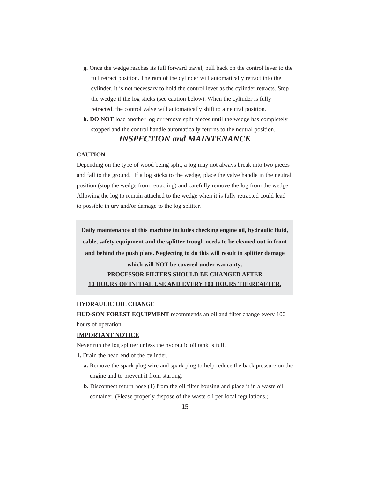- **g.** Once the wedge reaches its full forward travel, pull back on the control lever to the full retract position. The ram of the cylinder will automatically retract into the cylinder. It is not necessary to hold the control lever as the cylinder retracts. Stop the wedge if the log sticks (see caution below). When the cylinder is fully retracted, the control valve will automatically shift to a neutral position.
- **h. DO NOT** load another log or remove split pieces until the wedge has completely stopped and the control handle automatically returns to the neutral position.

## *INSPECTION and MAINTENANCE*

#### **CAUTION**

Depending on the type of wood being split, a log may not always break into two pieces and fall to the ground. If a log sticks to the wedge, place the valve handle in the neutral position (stop the wedge from retracting) and carefully remove the log from the wedge. Allowing the log to remain attached to the wedge when it is fully retracted could lead to possible injury and/or damage to the log splitter.

**Daily maintenance of this machine includes checking engine oil, hydraulic fluid, cable, safety equipment and the splitter trough needs to be cleaned out in front and behind the push plate. Neglecting to do this will result in splitter damage**

## **which will NOT be covered under warranty**. **PROCESSOR FILTERS SHOULD BE CHANGED AFTER 10 HOURS OF INITIAL USE AND EVERY 100 HOURS THEREAFTER.**

#### **HYDRAULIC OIL CHANGE**

**HUD-SON FOREST EQUIPMENT** recommends an oil and filter change every 100 hours of operation.

#### **IMPORTANT NOTICE**

Never run the log splitter unless the hydraulic oil tank is full.

- **1.** Drain the head end of the cylinder.
	- **a.** Remove the spark plug wire and spark plug to help reduce the back pressure on the engine and to prevent it from starting.
	- **b.** Disconnect return hose (1) from the oil filter housing and place it in a waste oil container. (Please properly dispose of the waste oil per local regulations.)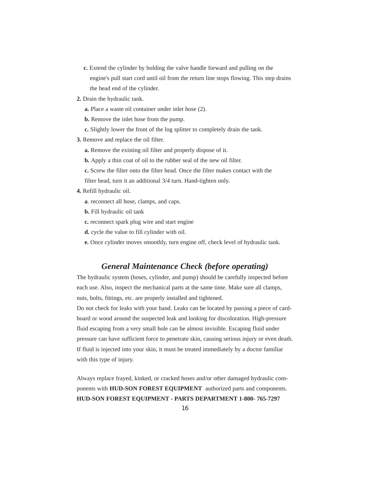- **c.** Extend the cylinder by holding the valve handle forward and pulling on the engine's pull start cord until oil from the return line stops flowing. This step drains the head end of the cylinder.
- **2.** Drain the hydraulic tank.
	- **a.** Place a waste oil container under inlet hose (2).
	- **b.** Remove the inlet hose from the pump.
	- **c.** Slightly lower the front of the log splitter to completely drain the tank.
- **3.** Remove and replace the oil filter.
	- **a.** Remove the existing oil filter and properly dispose of it.
	- **b.** Apply a thin coat of oil to the rubber seal of the new oil filter.
	- **c.** Screw the filter onto the filter head. Once the filter makes contact with the
	- filter head, turn it an additional 3/4 turn. Hand-tighten only.
- **4.** Refill hydraulic oil.
	- **a**. reconnect all hose, clamps, and caps.
	- **b.** Fill hydraulic oil tank
	- **c.** reconnect spark plug wire and start engine
	- **d.** cycle the value to fill cylinder with oil.
	- **e.** Once cylinder moves smoothly, turn engine off, check level of hydraulic tank.

## *General Maintenance Check (before operating)*

The hydraulic system (hoses, cylinder, and pump) should be carefully inspected before each use. Also, inspect the mechanical parts at the same time. Make sure all clamps, nuts, bolts, fittings, etc. are properly installed and tightened.

Do not check for leaks with your hand. Leaks can be located by passing a piece of cardboard or wood around the suspected leak and looking for discoloration. High-pressure fluid escaping from a very small hole can be almost invisible. Escaping fluid under pressure can have sufficient force to penetrate skin, causing serious injury or even death. If fluid is injected into your skin, it must be treated immediately by a doctor familiar with this type of injury.

Always replace frayed, kinked, or cracked hoses and/or other damaged hydraulic components with **HUD-SON FOREST EQUIPMENT** authorized parts and components. **HUD-SON FOREST EQUIPMENT - PARTS DEPARTMENT 1-800- 765-7297**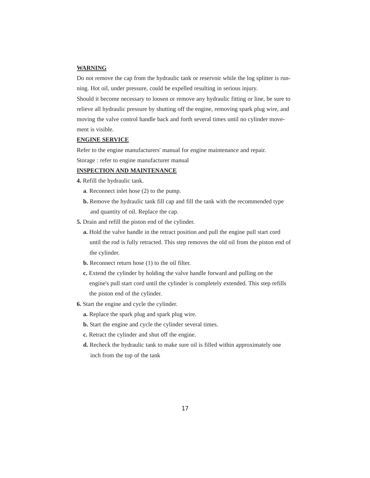#### **WARNING**

Do not remove the cap from the hydraulic tank or reservoir while the log splitter is running. Hot oil, under pressure, could be expelled resulting in serious injury.

Should it become necessary to loosen or remove any hydraulic fitting or line, be sure to relieve all hydraulic pressure by shutting off the engine, removing spark plug wire, and moving the valve control handle back and forth several times until no cylinder movement is visible.

#### **ENGINE SERVICE**

Refer to the engine manufacturers' manual for engine maintenance and repair.

Storage : refer to engine manufacturer manual

#### **INSPECTION AND MAINTENANCE**

**4.** Refill the hydraulic tank.

- **a**. Reconnect inlet hose (2) to the pump.
- **b.** Remove the hydraulic tank fill cap and fill the tank with the recommended type and quantity of oil. Replace the cap.
- **5.** Drain and refill the piston end of the cylinder.
	- **a.** Hold the valve handle in the retract position and pull the engine pull start cord until the rod is fully retracted. This step removes the old oil from the piston end of the cylinder.
	- **b.** Reconnect return hose (1) to the oil filter.
	- **c.** Extend the cylinder by holding the valve handle forward and pulling on the engine's pull start cord until the cylinder is completely extended. This step refills the piston end of the cylinder.
- **6.** Start the engine and cycle the cylinder.
	- **a.** Replace the spark plug and spark plug wire.
	- **b.** Start the engine and cycle the cylinder several times.
	- **c.** Retract the cylinder and shut off the engine.
	- **d.** Recheck the hydraulic tank to make sure oil is filled within approximately one inch from the top of the tank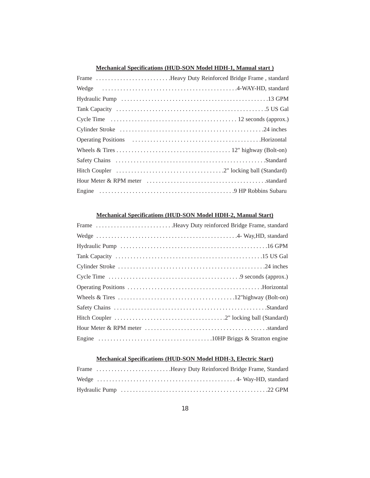## **Mechanical Specifications (HUD-SON Model HDH-1, Manual start )**

| Frame Heavy Duty Reinforced Bridge Frame, standard |
|----------------------------------------------------|
|                                                    |
|                                                    |
|                                                    |
|                                                    |
|                                                    |
|                                                    |
|                                                    |
|                                                    |
|                                                    |
|                                                    |
|                                                    |

#### **Mechanical Specifications (HUD-SON Model HDH-2, Manual Start)**

#### **Mechanical Specifications (HUD-SON Model HDH-3, Electric Start)**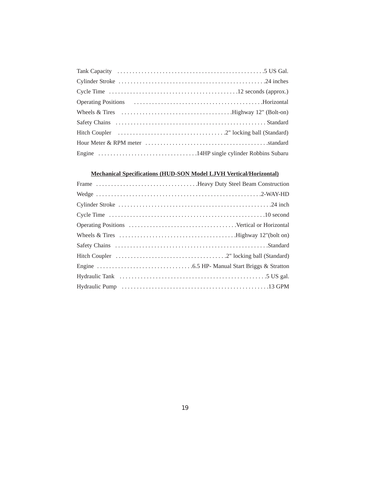## **Mechanical Specifications (HUD-SON Model LJVH Vertical/Horizontal)**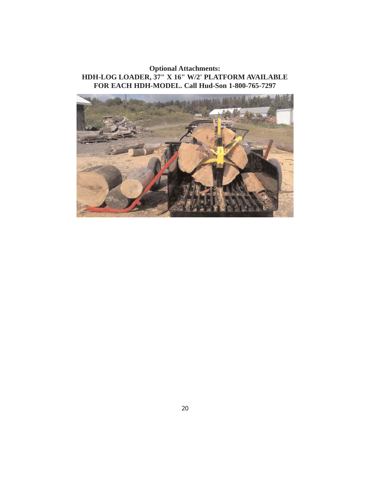**Optional Attachments: HDH-LOG LOADER, 37" X 16" W/2' PLATFORM AVAILABLE FOR EACH HDH-MODEL. Call Hud-Son 1-800-765-7297**

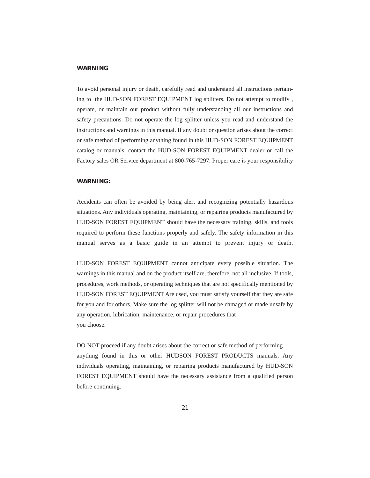#### **WARNING**

To avoid personal injury or death, carefully read and understand all instructions pertaining to the HUD-SON FOREST EQUIPMENT log splitters. Do not attempt to modify , operate, or maintain our product without fully understanding all our instructions and safety precautions. Do not operate the log splitter unless you read and understand the instructions and warnings in this manual. If any doubt or question arises about the correct or safe method of performing anything found in this HUD-SON FOREST EQUIPMENT catalog or manuals, contact the HUD-SON FOREST EQUIPMENT dealer or call the Factory sales OR Service department at 800-765-7297. Proper care is your responsibility

#### **WARNING:**

Accidents can often be avoided by being alert and recognizing potentially hazardous situations. Any individuals operating, maintaining, or repairing products manufactured by HUD-SON FOREST EQUIPMENT should have the necessary training, skills, and tools required to perform these functions properly and safely. The safety information in this manual serves as a basic guide in an attempt to prevent injury or death.

HUD-SON FOREST EQUIPMENT cannot anticipate every possible situation. The warnings in this manual and on the product itself are, therefore, not all inclusive. If tools, procedures, work methods, or operating techniques that are not specifically mentioned by HUD-SON FOREST EQUIPMENT Are used, you must satisfy yourself that they are safe for you and for others. Make sure the log splitter will not be damaged or made unsafe by any operation, lubrication, maintenance, or repair procedures that you choose.

DO NOT proceed if any doubt arises about the correct or safe method of performing anything found in this or other HUDSON FOREST PRODUCTS manuals. Any individuals operating, maintaining, or repairing products manufactured by HUD-SON FOREST EQUIPMENT should have the necessary assistance from a qualified person before continuing.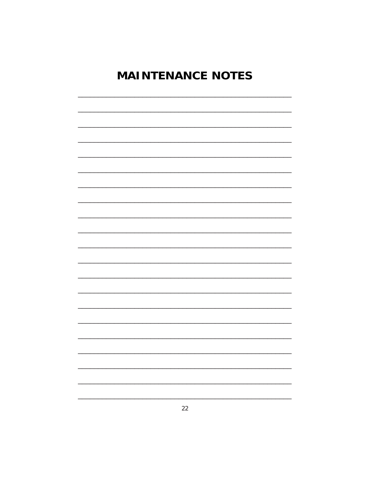# **MAINTENANCE NOTES**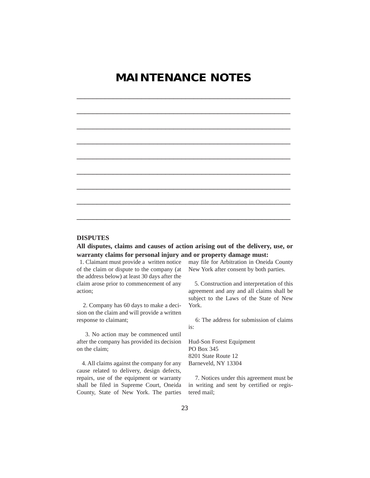## **MAINTENANCE NOTES**

\_\_\_\_\_\_\_\_\_\_\_\_\_\_\_\_\_\_\_\_\_\_\_\_\_\_\_\_\_\_\_\_\_\_\_\_\_\_\_\_\_\_\_\_\_\_\_\_\_\_\_\_\_

\_\_\_\_\_\_\_\_\_\_\_\_\_\_\_\_\_\_\_\_\_\_\_\_\_\_\_\_\_\_\_\_\_\_\_\_\_\_\_\_\_\_\_\_\_\_\_\_\_\_\_\_\_

\_\_\_\_\_\_\_\_\_\_\_\_\_\_\_\_\_\_\_\_\_\_\_\_\_\_\_\_\_\_\_\_\_\_\_\_\_\_\_\_\_\_\_\_\_\_\_\_\_\_\_\_\_

\_\_\_\_\_\_\_\_\_\_\_\_\_\_\_\_\_\_\_\_\_\_\_\_\_\_\_\_\_\_\_\_\_\_\_\_\_\_\_\_\_\_\_\_\_\_\_\_\_\_\_\_\_

\_\_\_\_\_\_\_\_\_\_\_\_\_\_\_\_\_\_\_\_\_\_\_\_\_\_\_\_\_\_\_\_\_\_\_\_\_\_\_\_\_\_\_\_\_\_\_\_\_\_\_\_\_

\_\_\_\_\_\_\_\_\_\_\_\_\_\_\_\_\_\_\_\_\_\_\_\_\_\_\_\_\_\_\_\_\_\_\_\_\_\_\_\_\_\_\_\_\_\_\_\_\_\_\_\_\_

\_\_\_\_\_\_\_\_\_\_\_\_\_\_\_\_\_\_\_\_\_\_\_\_\_\_\_\_\_\_\_\_\_\_\_\_\_\_\_\_\_\_\_\_\_\_\_\_\_\_\_\_\_

\_\_\_\_\_\_\_\_\_\_\_\_\_\_\_\_\_\_\_\_\_\_\_\_\_\_\_\_\_\_\_\_\_\_\_\_\_\_\_\_\_\_\_\_\_\_\_\_\_\_\_\_\_

\_\_\_\_\_\_\_\_\_\_\_\_\_\_\_\_\_\_\_\_\_\_\_\_\_\_\_\_\_\_\_\_\_\_\_\_\_\_\_\_\_\_\_\_\_\_\_\_\_\_\_\_\_



**All disputes, claims and causes of action arising out of the delivery, use, or warranty claims for personal injury and or property damage must:**

1. Claimant must provide a written notice of the claim or dispute to the company (at the address below) at least 30 days after the claim arose prior to commencement of any action;

2. Company has 60 days to make a decision on the claim and will provide a written response to claimant;

3. No action may be commenced until after the company has provided its decision on the claim;

4. All claims against the company for any cause related to delivery, design defects, repairs, use of the equipment or warranty shall be filed in Supreme Court, Oneida County, State of New York. The parties

may file for Arbitration in Oneida County New York after consent by both parties.

5. Construction and interpretation of this agreement and any and all claims shall be subject to the Laws of the State of New York.

6: The address for submission of claims is:

Hud-Son Forest Equipment PO Box 345 8201 State Route 12 Barneveld, NY 13304

7. Notices under this agreement must be in writing and sent by certified or registered mail;